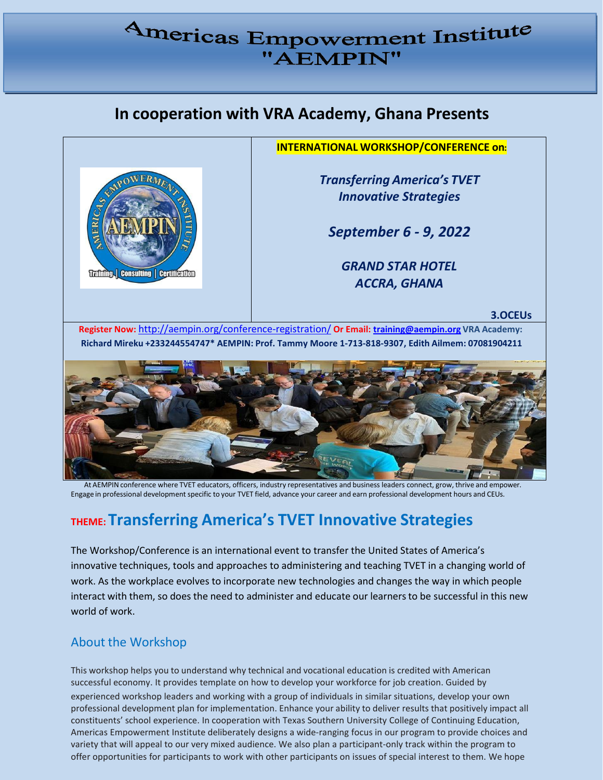# Americas Empowerment Institute "AEMPIN"

# **In cooperation with VRA Academy, Ghana Presents**



**INTERNATIONAL WORKSHOP/CONFERENCE on:**

*Transferring America's TVET Innovative Strategies*

*September 6 - 9, 2022*

*GRAND STAR HOTEL ACCRA, GHANA*

**3.OCEUs**

**Register Now:** <http://aempin.org/conference-registration/> **Or Email: [training@aempin.org](mailto:training@aempin.org) VRA Academy: Richard Mireku +233244554747\* AEMPIN: Prof. Tammy Moore 1-713-818-9307, Edith Ailmem: 07081904211**



At AEMPIN conference where TVET educators, officers, industry representatives and business leaders connect, grow, thrive and empower. Engage in professional development specific to your TVET field, advance your career and earn professional development hours and CEUs.

# **THEME:Transferring America's TVET Innovative Strategies**

The Workshop/Conference is an international event to transferthe United States of America's innovative techniques, tools and approaches to administering and teaching TVET in a changing world of work. As the workplace evolves to incorporate new technologies and changes the way in which people interact with them, so does the need to administer and educate our learnersto be successful in this new world of work.

# About the Workshop

This workshop helps you to understand why technical and vocational education is credited with American successful economy. It provides template on how to develop your workforce for job creation. Guided by experienced workshop leaders and working with a group of individuals in similar situations, develop your own professional development plan for implementation. Enhance your ability to deliver results that positively impact all constituents' school experience. In cooperation with Texas Southern University College of Continuing Education, Americas Empowerment Institute deliberately designs a wide-ranging focus in our program to provide choices and variety that will appeal to our very mixed audience. We also plan a participant-only track within the program to offer opportunities for partic[ipants](http://www.aempin.org/) to work with other participants on issues of special interest to them. We hope